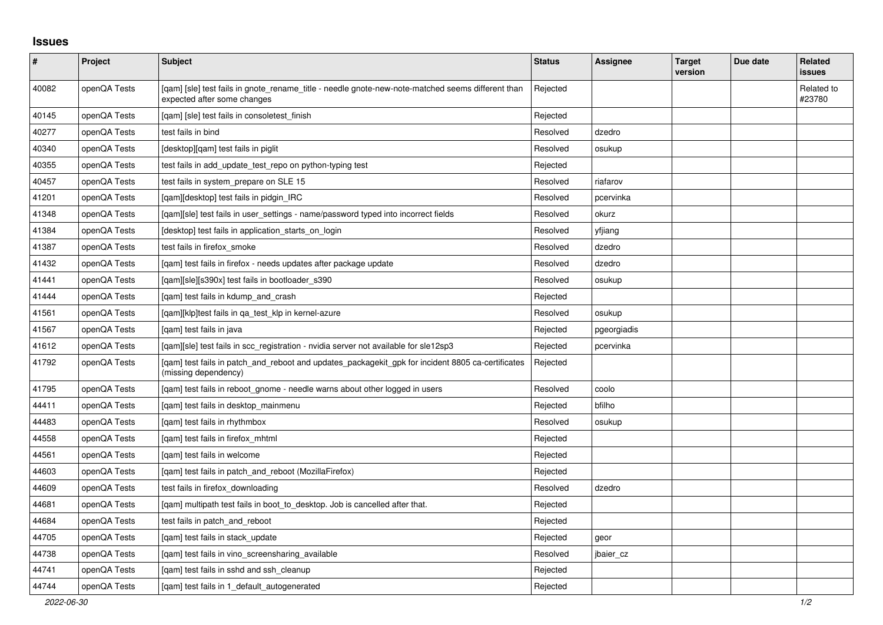## **Issues**

| $\vert$ # | Project      | <b>Subject</b>                                                                                                                   | <b>Status</b> | Assignee    | <b>Target</b><br>version | Due date | Related<br><b>issues</b> |
|-----------|--------------|----------------------------------------------------------------------------------------------------------------------------------|---------------|-------------|--------------------------|----------|--------------------------|
| 40082     | openQA Tests | [gam] [sle] test fails in gnote rename title - needle gnote-new-note-matched seems different than<br>expected after some changes | Rejected      |             |                          |          | Related to<br>#23780     |
| 40145     | openQA Tests | [qam] [sle] test fails in consoletest_finish                                                                                     | Rejected      |             |                          |          |                          |
| 40277     | openQA Tests | test fails in bind                                                                                                               | Resolved      | dzedro      |                          |          |                          |
| 40340     | openQA Tests | [desktop][qam] test fails in piglit                                                                                              | Resolved      | osukup      |                          |          |                          |
| 40355     | openQA Tests | test fails in add_update_test_repo on python-typing test                                                                         | Rejected      |             |                          |          |                          |
| 40457     | openQA Tests | test fails in system_prepare on SLE 15                                                                                           | Resolved      | riafarov    |                          |          |                          |
| 41201     | openQA Tests | [qam][desktop] test fails in pidgin_IRC                                                                                          | Resolved      | pcervinka   |                          |          |                          |
| 41348     | openQA Tests | [gam][sle] test fails in user settings - name/password typed into incorrect fields                                               | Resolved      | okurz       |                          |          |                          |
| 41384     | openQA Tests | [desktop] test fails in application starts on login                                                                              | Resolved      | yfjiang     |                          |          |                          |
| 41387     | openQA Tests | test fails in firefox_smoke                                                                                                      | Resolved      | dzedro      |                          |          |                          |
| 41432     | openQA Tests | [gam] test fails in firefox - needs updates after package update                                                                 | Resolved      | dzedro      |                          |          |                          |
| 41441     | openQA Tests | [qam][sle][s390x] test fails in bootloader_s390                                                                                  | Resolved      | osukup      |                          |          |                          |
| 41444     | openQA Tests | [qam] test fails in kdump_and_crash                                                                                              | Rejected      |             |                          |          |                          |
| 41561     | openQA Tests | [gam][klp]test fails in ga test klp in kernel-azure                                                                              | Resolved      | osukup      |                          |          |                          |
| 41567     | openQA Tests | [qam] test fails in java                                                                                                         | Rejected      | pgeorgiadis |                          |          |                          |
| 41612     | openQA Tests | [gam][sle] test fails in scc registration - nvidia server not available for sle12sp3                                             | Rejected      | pcervinka   |                          |          |                          |
| 41792     | openQA Tests | [gam] test fails in patch_and_reboot and updates_packagekit_gpk for incident 8805 ca-certificates<br>(missing dependency)        | Rejected      |             |                          |          |                          |
| 41795     | openQA Tests | [qam] test fails in reboot_gnome - needle warns about other logged in users                                                      | Resolved      | coolo       |                          |          |                          |
| 44411     | openQA Tests | [qam] test fails in desktop_mainmenu                                                                                             | Rejected      | bfilho      |                          |          |                          |
| 44483     | openQA Tests | [gam] test fails in rhythmbox                                                                                                    | Resolved      | osukup      |                          |          |                          |
| 44558     | openQA Tests | [gam] test fails in firefox mhtml                                                                                                | Rejected      |             |                          |          |                          |
| 44561     | openQA Tests | [gam] test fails in welcome                                                                                                      | Rejected      |             |                          |          |                          |
| 44603     | openQA Tests | [qam] test fails in patch_and_reboot (MozillaFirefox)                                                                            | Rejected      |             |                          |          |                          |
| 44609     | openQA Tests | test fails in firefox downloading                                                                                                | Resolved      | dzedro      |                          |          |                          |
| 44681     | openQA Tests | [qam] multipath test fails in boot_to_desktop. Job is cancelled after that.                                                      | Rejected      |             |                          |          |                          |
| 44684     | openQA Tests | test fails in patch and reboot                                                                                                   | Rejected      |             |                          |          |                          |
| 44705     | openQA Tests | [qam] test fails in stack_update                                                                                                 | Rejected      | geor        |                          |          |                          |
| 44738     | openQA Tests | [qam] test fails in vino_screensharing_available                                                                                 | Resolved      | jbaier_cz   |                          |          |                          |
| 44741     | openQA Tests | [gam] test fails in sshd and ssh cleanup                                                                                         | Rejected      |             |                          |          |                          |
| 44744     | openQA Tests | [gam] test fails in 1 default autogenerated                                                                                      | Rejected      |             |                          |          |                          |